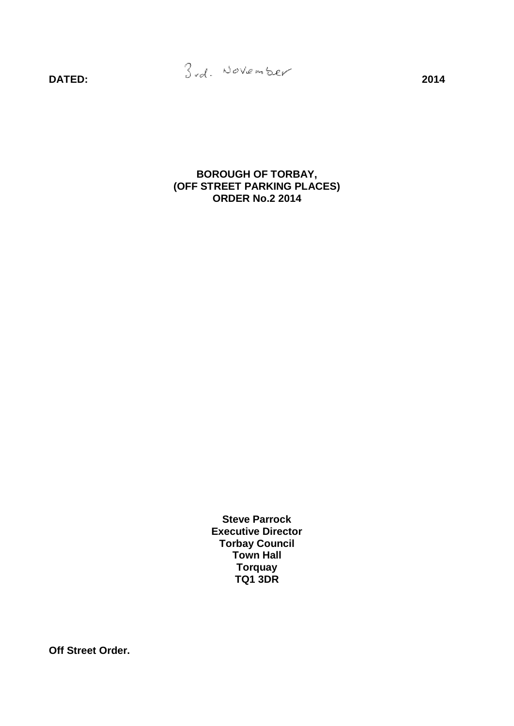**BOROUGH OF TORBAY, (OFF STREET PARKING PLACES) ORDER No.2 2014**

> **Steve Parrock Executive Director Torbay Council Town Hall Torquay TQ1 3DR**

**Off Street Order.**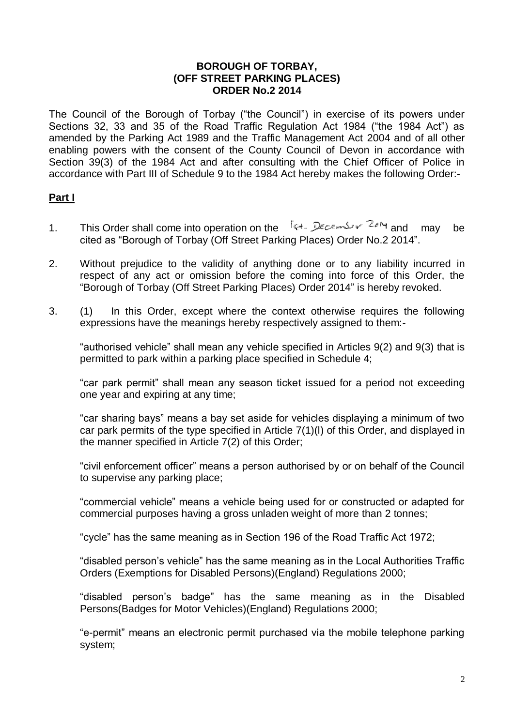### **BOROUGH OF TORBAY, (OFF STREET PARKING PLACES) ORDER No.2 2014**

The Council of the Borough of Torbay ("the Council") in exercise of its powers under Sections 32, 33 and 35 of the Road Traffic Regulation Act 1984 ("the 1984 Act") as amended by the Parking Act 1989 and the Traffic Management Act 2004 and of all other enabling powers with the consent of the County Council of Devon in accordance with Section 39(3) of the 1984 Act and after consulting with the Chief Officer of Police in accordance with Part III of Schedule 9 to the 1984 Act hereby makes the following Order:-

# **Part I**

- 1. This Order shall come into operation on the  $\frac{1}{2}$  external value may be cited as "Borough of Torbay (Off Street Parking Places) Order No.2 2014".
- 2. Without prejudice to the validity of anything done or to any liability incurred in respect of any act or omission before the coming into force of this Order, the "Borough of Torbay (Off Street Parking Places) Order 2014" is hereby revoked.
- 3. (1) In this Order, except where the context otherwise requires the following expressions have the meanings hereby respectively assigned to them:-

"authorised vehicle" shall mean any vehicle specified in Articles 9(2) and 9(3) that is permitted to park within a parking place specified in Schedule 4;

"car park permit" shall mean any season ticket issued for a period not exceeding one year and expiring at any time;

"car sharing bays" means a bay set aside for vehicles displaying a minimum of two car park permits of the type specified in Article 7(1)(l) of this Order, and displayed in the manner specified in Article 7(2) of this Order;

"civil enforcement officer" means a person authorised by or on behalf of the Council to supervise any parking place;

"commercial vehicle" means a vehicle being used for or constructed or adapted for commercial purposes having a gross unladen weight of more than 2 tonnes;

"cycle" has the same meaning as in Section 196 of the Road Traffic Act 1972;

"disabled person's vehicle" has the same meaning as in the Local Authorities Traffic Orders (Exemptions for Disabled Persons)(England) Regulations 2000;

"disabled person's badge" has the same meaning as in the Disabled Persons(Badges for Motor Vehicles)(England) Regulations 2000;

"e-permit" means an electronic permit purchased via the mobile telephone parking system;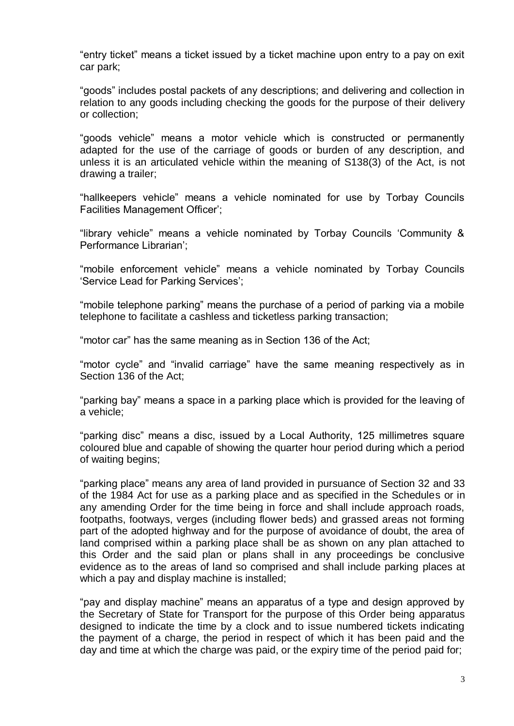"entry ticket" means a ticket issued by a ticket machine upon entry to a pay on exit car park;

"goods" includes postal packets of any descriptions; and delivering and collection in relation to any goods including checking the goods for the purpose of their delivery or collection;

"goods vehicle" means a motor vehicle which is constructed or permanently adapted for the use of the carriage of goods or burden of any description, and unless it is an articulated vehicle within the meaning of S138(3) of the Act, is not drawing a trailer;

"hallkeepers vehicle" means a vehicle nominated for use by Torbay Councils Facilities Management Officer';

"library vehicle" means a vehicle nominated by Torbay Councils 'Community & Performance Librarian';

"mobile enforcement vehicle" means a vehicle nominated by Torbay Councils 'Service Lead for Parking Services';

"mobile telephone parking" means the purchase of a period of parking via a mobile telephone to facilitate a cashless and ticketless parking transaction;

"motor car" has the same meaning as in Section 136 of the Act;

"motor cycle" and "invalid carriage" have the same meaning respectively as in Section 136 of the Act;

"parking bay" means a space in a parking place which is provided for the leaving of a vehicle;

"parking disc" means a disc, issued by a Local Authority, 125 millimetres square coloured blue and capable of showing the quarter hour period during which a period of waiting begins;

"parking place" means any area of land provided in pursuance of Section 32 and 33 of the 1984 Act for use as a parking place and as specified in the Schedules or in any amending Order for the time being in force and shall include approach roads, footpaths, footways, verges (including flower beds) and grassed areas not forming part of the adopted highway and for the purpose of avoidance of doubt, the area of land comprised within a parking place shall be as shown on any plan attached to this Order and the said plan or plans shall in any proceedings be conclusive evidence as to the areas of land so comprised and shall include parking places at which a pay and display machine is installed;

"pay and display machine" means an apparatus of a type and design approved by the Secretary of State for Transport for the purpose of this Order being apparatus designed to indicate the time by a clock and to issue numbered tickets indicating the payment of a charge, the period in respect of which it has been paid and the day and time at which the charge was paid, or the expiry time of the period paid for;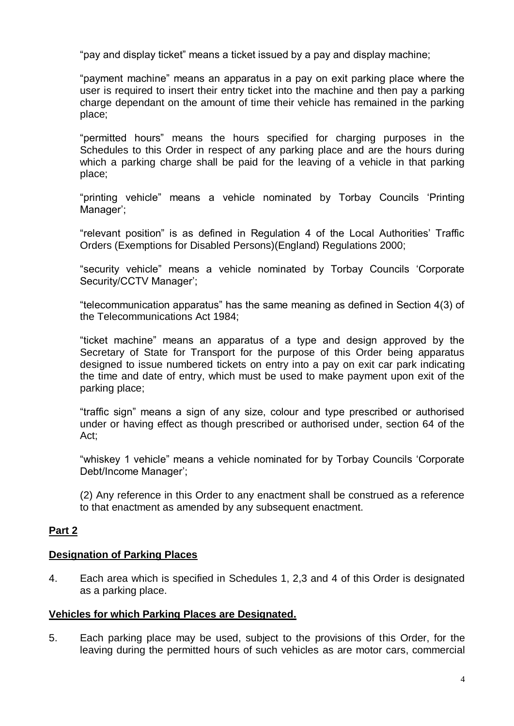"pay and display ticket" means a ticket issued by a pay and display machine;

"payment machine" means an apparatus in a pay on exit parking place where the user is required to insert their entry ticket into the machine and then pay a parking charge dependant on the amount of time their vehicle has remained in the parking place;

"permitted hours" means the hours specified for charging purposes in the Schedules to this Order in respect of any parking place and are the hours during which a parking charge shall be paid for the leaving of a vehicle in that parking place;

"printing vehicle" means a vehicle nominated by Torbay Councils 'Printing Manager';

"relevant position" is as defined in Regulation 4 of the Local Authorities' Traffic Orders (Exemptions for Disabled Persons)(England) Regulations 2000;

"security vehicle" means a vehicle nominated by Torbay Councils 'Corporate Security/CCTV Manager';

"telecommunication apparatus" has the same meaning as defined in Section 4(3) of the Telecommunications Act 1984;

"ticket machine" means an apparatus of a type and design approved by the Secretary of State for Transport for the purpose of this Order being apparatus designed to issue numbered tickets on entry into a pay on exit car park indicating the time and date of entry, which must be used to make payment upon exit of the parking place;

"traffic sign" means a sign of any size, colour and type prescribed or authorised under or having effect as though prescribed or authorised under, section 64 of the Act;

"whiskey 1 vehicle" means a vehicle nominated for by Torbay Councils 'Corporate Debt/Income Manager';

(2) Any reference in this Order to any enactment shall be construed as a reference to that enactment as amended by any subsequent enactment.

# **Part 2**

# **Designation of Parking Places**

4. Each area which is specified in Schedules 1, 2,3 and 4 of this Order is designated as a parking place.

## **Vehicles for which Parking Places are Designated.**

5. Each parking place may be used, subject to the provisions of this Order, for the leaving during the permitted hours of such vehicles as are motor cars, commercial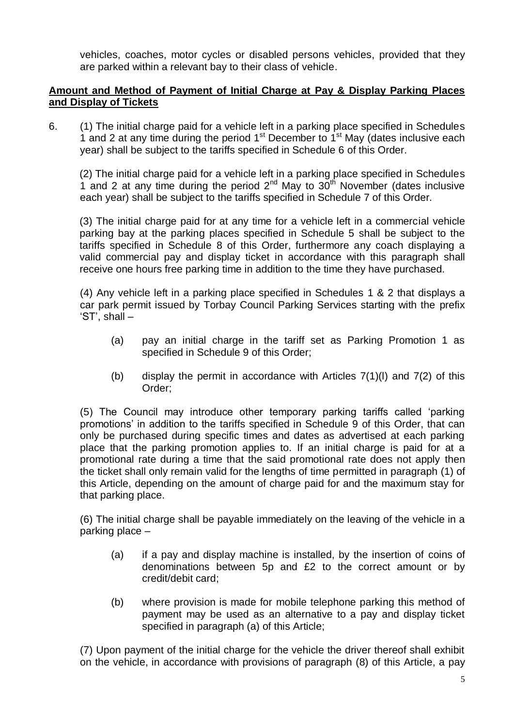vehicles, coaches, motor cycles or disabled persons vehicles, provided that they are parked within a relevant bay to their class of vehicle.

# **Amount and Method of Payment of Initial Charge at Pay & Display Parking Places and Display of Tickets**

6. (1) The initial charge paid for a vehicle left in a parking place specified in Schedules 1 and 2 at any time during the period  $1<sup>st</sup>$  December to  $1<sup>st</sup>$  May (dates inclusive each year) shall be subject to the tariffs specified in Schedule 6 of this Order.

(2) The initial charge paid for a vehicle left in a parking place specified in Schedules 1 and 2 at any time during the period  $2^{nd}$  May to  $30^{th}$  November (dates inclusive each year) shall be subject to the tariffs specified in Schedule 7 of this Order.

(3) The initial charge paid for at any time for a vehicle left in a commercial vehicle parking bay at the parking places specified in Schedule 5 shall be subject to the tariffs specified in Schedule 8 of this Order, furthermore any coach displaying a valid commercial pay and display ticket in accordance with this paragraph shall receive one hours free parking time in addition to the time they have purchased.

(4) Any vehicle left in a parking place specified in Schedules 1 & 2 that displays a car park permit issued by Torbay Council Parking Services starting with the prefix 'ST', shall –

- (a) pay an initial charge in the tariff set as Parking Promotion 1 as specified in Schedule 9 of this Order;
- (b) display the permit in accordance with Articles  $7(1)(1)$  and  $7(2)$  of this Order;

(5) The Council may introduce other temporary parking tariffs called 'parking promotions' in addition to the tariffs specified in Schedule 9 of this Order, that can only be purchased during specific times and dates as advertised at each parking place that the parking promotion applies to. If an initial charge is paid for at a promotional rate during a time that the said promotional rate does not apply then the ticket shall only remain valid for the lengths of time permitted in paragraph (1) of this Article, depending on the amount of charge paid for and the maximum stay for that parking place.

(6) The initial charge shall be payable immediately on the leaving of the vehicle in a parking place –

- (a) if a pay and display machine is installed, by the insertion of coins of denominations between 5p and £2 to the correct amount or by credit/debit card;
- (b) where provision is made for mobile telephone parking this method of payment may be used as an alternative to a pay and display ticket specified in paragraph (a) of this Article;

(7) Upon payment of the initial charge for the vehicle the driver thereof shall exhibit on the vehicle, in accordance with provisions of paragraph (8) of this Article, a pay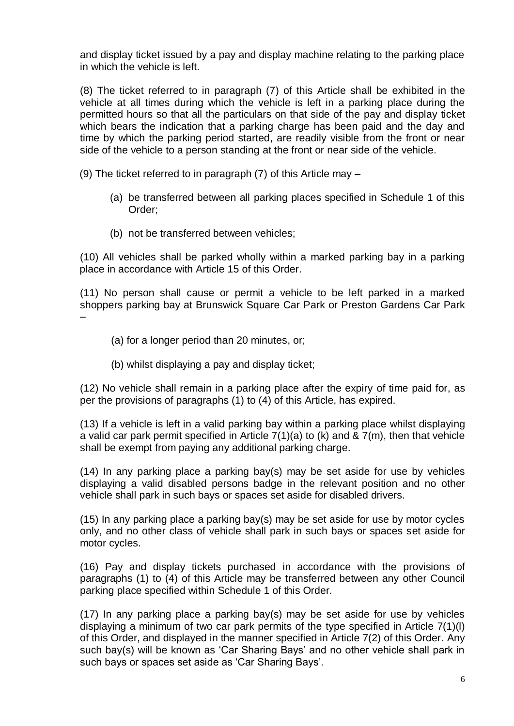and display ticket issued by a pay and display machine relating to the parking place in which the vehicle is left.

(8) The ticket referred to in paragraph (7) of this Article shall be exhibited in the vehicle at all times during which the vehicle is left in a parking place during the permitted hours so that all the particulars on that side of the pay and display ticket which bears the indication that a parking charge has been paid and the day and time by which the parking period started, are readily visible from the front or near side of the vehicle to a person standing at the front or near side of the vehicle.

(9) The ticket referred to in paragraph (7) of this Article may –

- (a) be transferred between all parking places specified in Schedule 1 of this Order;
- (b) not be transferred between vehicles;

(10) All vehicles shall be parked wholly within a marked parking bay in a parking place in accordance with Article 15 of this Order.

(11) No person shall cause or permit a vehicle to be left parked in a marked shoppers parking bay at Brunswick Square Car Park or Preston Gardens Car Park –

- (a) for a longer period than 20 minutes, or;
- (b) whilst displaying a pay and display ticket;

(12) No vehicle shall remain in a parking place after the expiry of time paid for, as per the provisions of paragraphs (1) to (4) of this Article, has expired.

(13) If a vehicle is left in a valid parking bay within a parking place whilst displaying a valid car park permit specified in Article 7(1)(a) to (k) and & 7(m), then that vehicle shall be exempt from paying any additional parking charge.

(14) In any parking place a parking bay(s) may be set aside for use by vehicles displaying a valid disabled persons badge in the relevant position and no other vehicle shall park in such bays or spaces set aside for disabled drivers.

 $(15)$  In any parking place a parking bay(s) may be set aside for use by motor cycles only, and no other class of vehicle shall park in such bays or spaces set aside for motor cycles.

(16) Pay and display tickets purchased in accordance with the provisions of paragraphs (1) to (4) of this Article may be transferred between any other Council parking place specified within Schedule 1 of this Order.

(17) In any parking place a parking bay(s) may be set aside for use by vehicles displaying a minimum of two car park permits of the type specified in Article 7(1)(l) of this Order, and displayed in the manner specified in Article 7(2) of this Order. Any such bay(s) will be known as 'Car Sharing Bays' and no other vehicle shall park in such bays or spaces set aside as 'Car Sharing Bays'.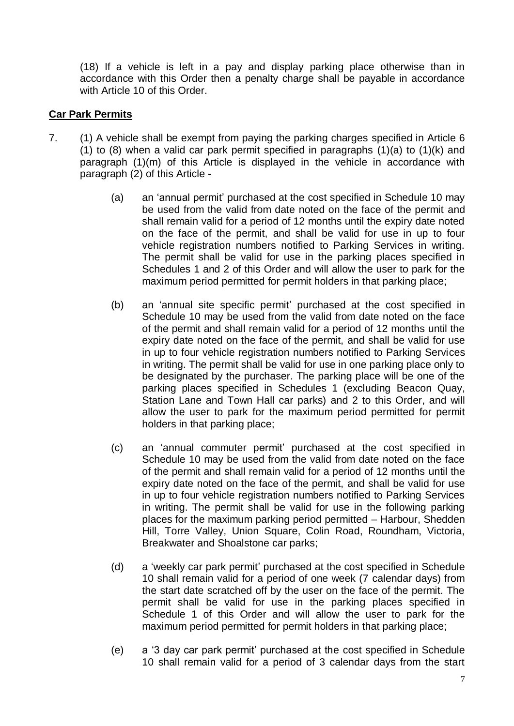(18) If a vehicle is left in a pay and display parking place otherwise than in accordance with this Order then a penalty charge shall be payable in accordance with Article 10 of this Order.

# **Car Park Permits**

- 7. (1) A vehicle shall be exempt from paying the parking charges specified in Article 6 (1) to (8) when a valid car park permit specified in paragraphs (1)(a) to (1)(k) and paragraph (1)(m) of this Article is displayed in the vehicle in accordance with paragraph (2) of this Article -
	- (a) an 'annual permit' purchased at the cost specified in Schedule 10 may be used from the valid from date noted on the face of the permit and shall remain valid for a period of 12 months until the expiry date noted on the face of the permit, and shall be valid for use in up to four vehicle registration numbers notified to Parking Services in writing. The permit shall be valid for use in the parking places specified in Schedules 1 and 2 of this Order and will allow the user to park for the maximum period permitted for permit holders in that parking place;
	- (b) an 'annual site specific permit' purchased at the cost specified in Schedule 10 may be used from the valid from date noted on the face of the permit and shall remain valid for a period of 12 months until the expiry date noted on the face of the permit, and shall be valid for use in up to four vehicle registration numbers notified to Parking Services in writing. The permit shall be valid for use in one parking place only to be designated by the purchaser. The parking place will be one of the parking places specified in Schedules 1 (excluding Beacon Quay, Station Lane and Town Hall car parks) and 2 to this Order, and will allow the user to park for the maximum period permitted for permit holders in that parking place;
	- (c) an 'annual commuter permit' purchased at the cost specified in Schedule 10 may be used from the valid from date noted on the face of the permit and shall remain valid for a period of 12 months until the expiry date noted on the face of the permit, and shall be valid for use in up to four vehicle registration numbers notified to Parking Services in writing. The permit shall be valid for use in the following parking places for the maximum parking period permitted – Harbour, Shedden Hill, Torre Valley, Union Square, Colin Road, Roundham, Victoria, Breakwater and Shoalstone car parks;
	- (d) a 'weekly car park permit' purchased at the cost specified in Schedule 10 shall remain valid for a period of one week (7 calendar days) from the start date scratched off by the user on the face of the permit. The permit shall be valid for use in the parking places specified in Schedule 1 of this Order and will allow the user to park for the maximum period permitted for permit holders in that parking place;
	- (e) a '3 day car park permit' purchased at the cost specified in Schedule 10 shall remain valid for a period of 3 calendar days from the start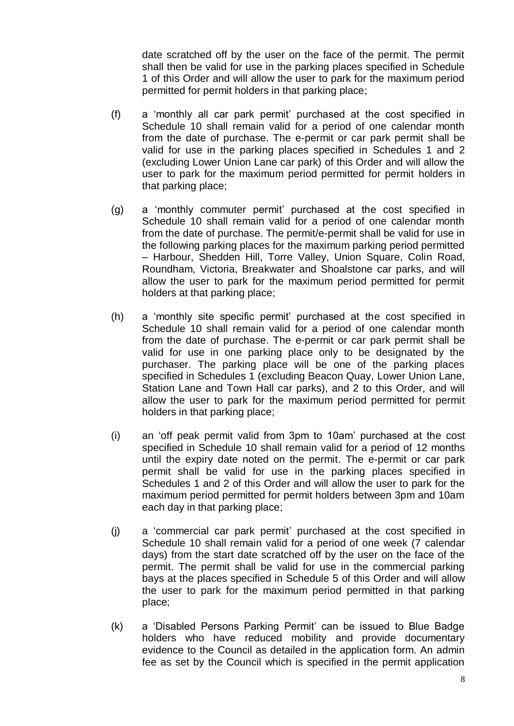date scratched off by the user on the face of the permit. The permit shall then be valid for use in the parking places specified in Schedule 1 of this Order and will allow the user to park for the maximum period permitted for permit holders in that parking place;

- (f) a 'monthly all car park permit' purchased at the cost specified in Schedule 10 shall remain valid for a period of one calendar month from the date of purchase. The e-permit or car park permit shall be valid for use in the parking places specified in Schedules 1 and 2 (excluding Lower Union Lane car park) of this Order and will allow the user to park for the maximum period permitted for permit holders in that parking place:
- (g) a 'monthly commuter permit' purchased at the cost specified in Schedule 10 shall remain valid for a period of one calendar month from the date of purchase. The permit/e-permit shall be valid for use in the following parking places for the maximum parking period permitted – Harbour, Shedden Hill, Torre Valley, Union Square, Colin Road, Roundham, Victoria, Breakwater and Shoalstone car parks, and will allow the user to park for the maximum period permitted for permit holders at that parking place;
- (h) a 'monthly site specific permit' purchased at the cost specified in Schedule 10 shall remain valid for a period of one calendar month from the date of purchase. The e-permit or car park permit shall be valid for use in one parking place only to be designated by the purchaser. The parking place will be one of the parking places specified in Schedules 1 (excluding Beacon Quay, Lower Union Lane, Station Lane and Town Hall car parks), and 2 to this Order, and will allow the user to park for the maximum period permitted for permit holders in that parking place;
- (i) an 'off peak permit valid from 3pm to 10am' purchased at the cost specified in Schedule 10 shall remain valid for a period of 12 months until the expiry date noted on the permit. The e-permit or car park permit shall be valid for use in the parking places specified in Schedules 1 and 2 of this Order and will allow the user to park for the maximum period permitted for permit holders between 3pm and 10am each day in that parking place;
- (j) a 'commercial car park permit' purchased at the cost specified in Schedule 10 shall remain valid for a period of one week (7 calendar days) from the start date scratched off by the user on the face of the permit. The permit shall be valid for use in the commercial parking bays at the places specified in Schedule 5 of this Order and will allow the user to park for the maximum period permitted in that parking place;
- (k) a 'Disabled Persons Parking Permit' can be issued to Blue Badge holders who have reduced mobility and provide documentary evidence to the Council as detailed in the application form. An admin fee as set by the Council which is specified in the permit application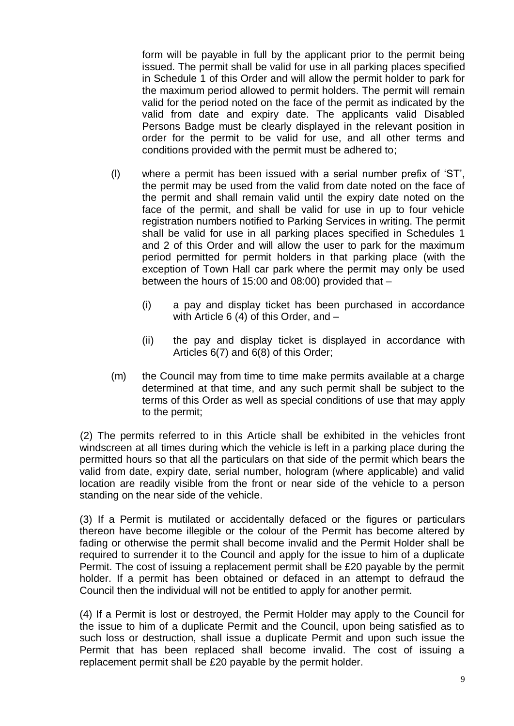form will be payable in full by the applicant prior to the permit being issued. The permit shall be valid for use in all parking places specified in Schedule 1 of this Order and will allow the permit holder to park for the maximum period allowed to permit holders. The permit will remain valid for the period noted on the face of the permit as indicated by the valid from date and expiry date. The applicants valid Disabled Persons Badge must be clearly displayed in the relevant position in order for the permit to be valid for use, and all other terms and conditions provided with the permit must be adhered to;

- (l) where a permit has been issued with a serial number prefix of 'ST', the permit may be used from the valid from date noted on the face of the permit and shall remain valid until the expiry date noted on the face of the permit, and shall be valid for use in up to four vehicle registration numbers notified to Parking Services in writing. The permit shall be valid for use in all parking places specified in Schedules 1 and 2 of this Order and will allow the user to park for the maximum period permitted for permit holders in that parking place (with the exception of Town Hall car park where the permit may only be used between the hours of 15:00 and 08:00) provided that –
	- (i) a pay and display ticket has been purchased in accordance with Article 6 (4) of this Order, and –
	- (ii) the pay and display ticket is displayed in accordance with Articles 6(7) and 6(8) of this Order;
- (m) the Council may from time to time make permits available at a charge determined at that time, and any such permit shall be subject to the terms of this Order as well as special conditions of use that may apply to the permit;

(2) The permits referred to in this Article shall be exhibited in the vehicles front windscreen at all times during which the vehicle is left in a parking place during the permitted hours so that all the particulars on that side of the permit which bears the valid from date, expiry date, serial number, hologram (where applicable) and valid location are readily visible from the front or near side of the vehicle to a person standing on the near side of the vehicle.

(3) If a Permit is mutilated or accidentally defaced or the figures or particulars thereon have become illegible or the colour of the Permit has become altered by fading or otherwise the permit shall become invalid and the Permit Holder shall be required to surrender it to the Council and apply for the issue to him of a duplicate Permit. The cost of issuing a replacement permit shall be £20 payable by the permit holder. If a permit has been obtained or defaced in an attempt to defraud the Council then the individual will not be entitled to apply for another permit.

(4) If a Permit is lost or destroyed, the Permit Holder may apply to the Council for the issue to him of a duplicate Permit and the Council, upon being satisfied as to such loss or destruction, shall issue a duplicate Permit and upon such issue the Permit that has been replaced shall become invalid. The cost of issuing a replacement permit shall be £20 payable by the permit holder.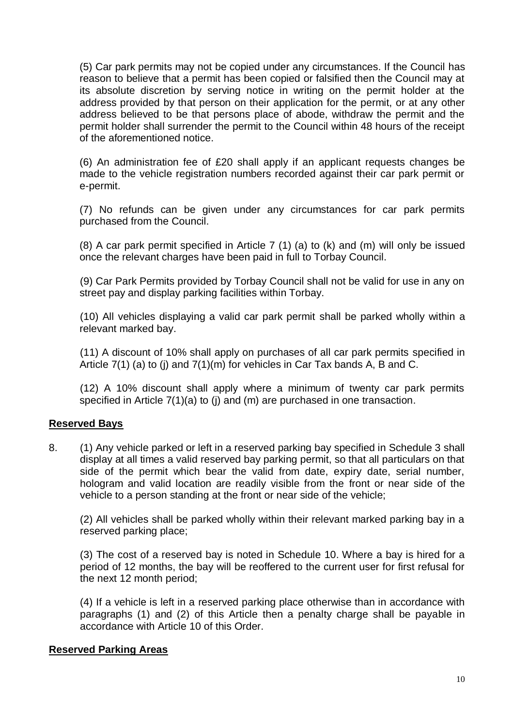(5) Car park permits may not be copied under any circumstances. If the Council has reason to believe that a permit has been copied or falsified then the Council may at its absolute discretion by serving notice in writing on the permit holder at the address provided by that person on their application for the permit, or at any other address believed to be that persons place of abode, withdraw the permit and the permit holder shall surrender the permit to the Council within 48 hours of the receipt of the aforementioned notice.

(6) An administration fee of £20 shall apply if an applicant requests changes be made to the vehicle registration numbers recorded against their car park permit or e-permit.

(7) No refunds can be given under any circumstances for car park permits purchased from the Council.

(8) A car park permit specified in Article 7 (1) (a) to (k) and (m) will only be issued once the relevant charges have been paid in full to Torbay Council.

(9) Car Park Permits provided by Torbay Council shall not be valid for use in any on street pay and display parking facilities within Torbay.

(10) All vehicles displaying a valid car park permit shall be parked wholly within a relevant marked bay.

(11) A discount of 10% shall apply on purchases of all car park permits specified in Article 7(1) (a) to (j) and 7(1)(m) for vehicles in Car Tax bands A, B and C.

(12) A 10% discount shall apply where a minimum of twenty car park permits specified in Article 7(1)(a) to (j) and (m) are purchased in one transaction.

## **Reserved Bays**

8. (1) Any vehicle parked or left in a reserved parking bay specified in Schedule 3 shall display at all times a valid reserved bay parking permit, so that all particulars on that side of the permit which bear the valid from date, expiry date, serial number, hologram and valid location are readily visible from the front or near side of the vehicle to a person standing at the front or near side of the vehicle;

(2) All vehicles shall be parked wholly within their relevant marked parking bay in a reserved parking place;

(3) The cost of a reserved bay is noted in Schedule 10. Where a bay is hired for a period of 12 months, the bay will be reoffered to the current user for first refusal for the next 12 month period;

(4) If a vehicle is left in a reserved parking place otherwise than in accordance with paragraphs (1) and (2) of this Article then a penalty charge shall be payable in accordance with Article 10 of this Order.

## **Reserved Parking Areas**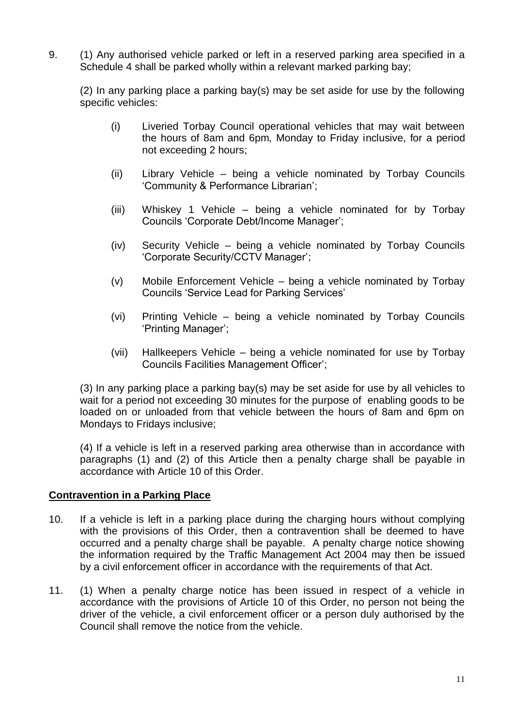9. (1) Any authorised vehicle parked or left in a reserved parking area specified in a Schedule 4 shall be parked wholly within a relevant marked parking bay;

(2) In any parking place a parking bay(s) may be set aside for use by the following specific vehicles:

- (i) Liveried Torbay Council operational vehicles that may wait between the hours of 8am and 6pm, Monday to Friday inclusive, for a period not exceeding 2 hours;
- (ii) Library Vehicle being a vehicle nominated by Torbay Councils 'Community & Performance Librarian';
- (iii) Whiskey 1 Vehicle being a vehicle nominated for by Torbay Councils 'Corporate Debt/Income Manager';
- (iv) Security Vehicle being a vehicle nominated by Torbay Councils 'Corporate Security/CCTV Manager';
- (v) Mobile Enforcement Vehicle being a vehicle nominated by Torbay Councils 'Service Lead for Parking Services'
- (vi) Printing Vehicle being a vehicle nominated by Torbay Councils 'Printing Manager';
- (vii) Hallkeepers Vehicle being a vehicle nominated for use by Torbay Councils Facilities Management Officer';

(3) In any parking place a parking bay(s) may be set aside for use by all vehicles to wait for a period not exceeding 30 minutes for the purpose of enabling goods to be loaded on or unloaded from that vehicle between the hours of 8am and 6pm on Mondays to Fridays inclusive;

(4) If a vehicle is left in a reserved parking area otherwise than in accordance with paragraphs (1) and (2) of this Article then a penalty charge shall be payable in accordance with Article 10 of this Order.

# **Contravention in a Parking Place**

- 10. If a vehicle is left in a parking place during the charging hours without complying with the provisions of this Order, then a contravention shall be deemed to have occurred and a penalty charge shall be payable. A penalty charge notice showing the information required by the Traffic Management Act 2004 may then be issued by a civil enforcement officer in accordance with the requirements of that Act.
- 11. (1) When a penalty charge notice has been issued in respect of a vehicle in accordance with the provisions of Article 10 of this Order, no person not being the driver of the vehicle, a civil enforcement officer or a person duly authorised by the Council shall remove the notice from the vehicle.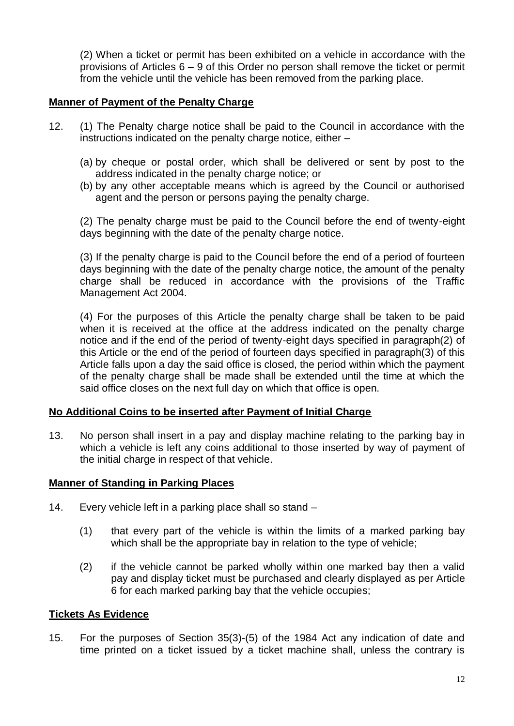(2) When a ticket or permit has been exhibited on a vehicle in accordance with the provisions of Articles 6 – 9 of this Order no person shall remove the ticket or permit from the vehicle until the vehicle has been removed from the parking place.

## **Manner of Payment of the Penalty Charge**

- 12. (1) The Penalty charge notice shall be paid to the Council in accordance with the instructions indicated on the penalty charge notice, either –
	- (a) by cheque or postal order, which shall be delivered or sent by post to the address indicated in the penalty charge notice; or
	- (b) by any other acceptable means which is agreed by the Council or authorised agent and the person or persons paying the penalty charge.

(2) The penalty charge must be paid to the Council before the end of twenty-eight days beginning with the date of the penalty charge notice.

(3) If the penalty charge is paid to the Council before the end of a period of fourteen days beginning with the date of the penalty charge notice, the amount of the penalty charge shall be reduced in accordance with the provisions of the Traffic Management Act 2004.

(4) For the purposes of this Article the penalty charge shall be taken to be paid when it is received at the office at the address indicated on the penalty charge notice and if the end of the period of twenty-eight days specified in paragraph(2) of this Article or the end of the period of fourteen days specified in paragraph(3) of this Article falls upon a day the said office is closed, the period within which the payment of the penalty charge shall be made shall be extended until the time at which the said office closes on the next full day on which that office is open.

## **No Additional Coins to be inserted after Payment of Initial Charge**

13. No person shall insert in a pay and display machine relating to the parking bay in which a vehicle is left any coins additional to those inserted by way of payment of the initial charge in respect of that vehicle.

## **Manner of Standing in Parking Places**

- 14. Every vehicle left in a parking place shall so stand
	- (1) that every part of the vehicle is within the limits of a marked parking bay which shall be the appropriate bay in relation to the type of vehicle:
	- (2) if the vehicle cannot be parked wholly within one marked bay then a valid pay and display ticket must be purchased and clearly displayed as per Article 6 for each marked parking bay that the vehicle occupies;

## **Tickets As Evidence**

15. For the purposes of Section 35(3)-(5) of the 1984 Act any indication of date and time printed on a ticket issued by a ticket machine shall, unless the contrary is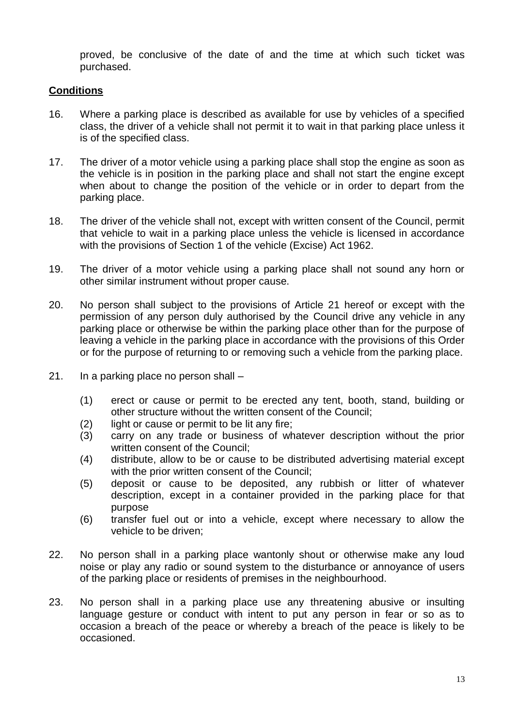proved, be conclusive of the date of and the time at which such ticket was purchased.

# **Conditions**

- 16. Where a parking place is described as available for use by vehicles of a specified class, the driver of a vehicle shall not permit it to wait in that parking place unless it is of the specified class.
- 17. The driver of a motor vehicle using a parking place shall stop the engine as soon as the vehicle is in position in the parking place and shall not start the engine except when about to change the position of the vehicle or in order to depart from the parking place.
- 18. The driver of the vehicle shall not, except with written consent of the Council, permit that vehicle to wait in a parking place unless the vehicle is licensed in accordance with the provisions of Section 1 of the vehicle (Excise) Act 1962.
- 19. The driver of a motor vehicle using a parking place shall not sound any horn or other similar instrument without proper cause.
- 20. No person shall subject to the provisions of Article 21 hereof or except with the permission of any person duly authorised by the Council drive any vehicle in any parking place or otherwise be within the parking place other than for the purpose of leaving a vehicle in the parking place in accordance with the provisions of this Order or for the purpose of returning to or removing such a vehicle from the parking place.
- 21. In a parking place no person shall
	- (1) erect or cause or permit to be erected any tent, booth, stand, building or other structure without the written consent of the Council;
	- (2) light or cause or permit to be lit any fire;
	- (3) carry on any trade or business of whatever description without the prior written consent of the Council;
	- (4) distribute, allow to be or cause to be distributed advertising material except with the prior written consent of the Council;
	- (5) deposit or cause to be deposited, any rubbish or litter of whatever description, except in a container provided in the parking place for that purpose
	- (6) transfer fuel out or into a vehicle, except where necessary to allow the vehicle to be driven;
- 22. No person shall in a parking place wantonly shout or otherwise make any loud noise or play any radio or sound system to the disturbance or annoyance of users of the parking place or residents of premises in the neighbourhood.
- 23. No person shall in a parking place use any threatening abusive or insulting language gesture or conduct with intent to put any person in fear or so as to occasion a breach of the peace or whereby a breach of the peace is likely to be occasioned.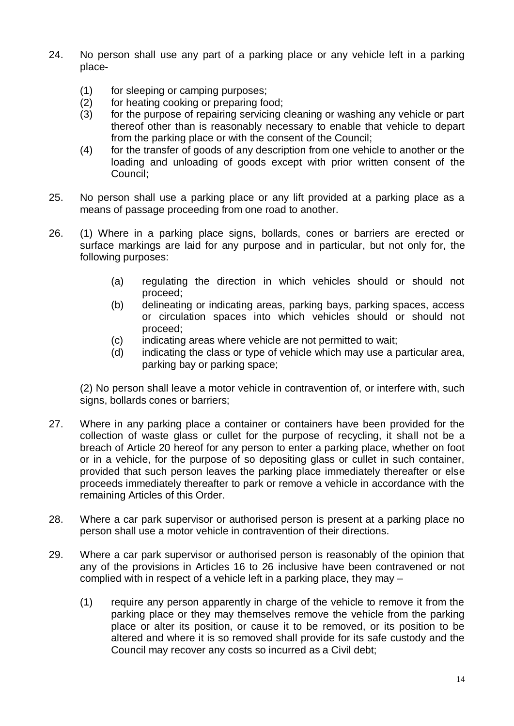- 24. No person shall use any part of a parking place or any vehicle left in a parking place-
	- (1) for sleeping or camping purposes;
	- (2) for heating cooking or preparing food;
	- (3) for the purpose of repairing servicing cleaning or washing any vehicle or part thereof other than is reasonably necessary to enable that vehicle to depart from the parking place or with the consent of the Council;
	- (4) for the transfer of goods of any description from one vehicle to another or the loading and unloading of goods except with prior written consent of the Council;
- 25. No person shall use a parking place or any lift provided at a parking place as a means of passage proceeding from one road to another.
- 26. (1) Where in a parking place signs, bollards, cones or barriers are erected or surface markings are laid for any purpose and in particular, but not only for, the following purposes:
	- (a) regulating the direction in which vehicles should or should not proceed;
	- (b) delineating or indicating areas, parking bays, parking spaces, access or circulation spaces into which vehicles should or should not proceed;
	- (c) indicating areas where vehicle are not permitted to wait;
	- (d) indicating the class or type of vehicle which may use a particular area, parking bay or parking space;

(2) No person shall leave a motor vehicle in contravention of, or interfere with, such signs, bollards cones or barriers;

- 27. Where in any parking place a container or containers have been provided for the collection of waste glass or cullet for the purpose of recycling, it shall not be a breach of Article 20 hereof for any person to enter a parking place, whether on foot or in a vehicle, for the purpose of so depositing glass or cullet in such container, provided that such person leaves the parking place immediately thereafter or else proceeds immediately thereafter to park or remove a vehicle in accordance with the remaining Articles of this Order.
- 28. Where a car park supervisor or authorised person is present at a parking place no person shall use a motor vehicle in contravention of their directions.
- 29. Where a car park supervisor or authorised person is reasonably of the opinion that any of the provisions in Articles 16 to 26 inclusive have been contravened or not complied with in respect of a vehicle left in a parking place, they may –
	- (1) require any person apparently in charge of the vehicle to remove it from the parking place or they may themselves remove the vehicle from the parking place or alter its position, or cause it to be removed, or its position to be altered and where it is so removed shall provide for its safe custody and the Council may recover any costs so incurred as a Civil debt;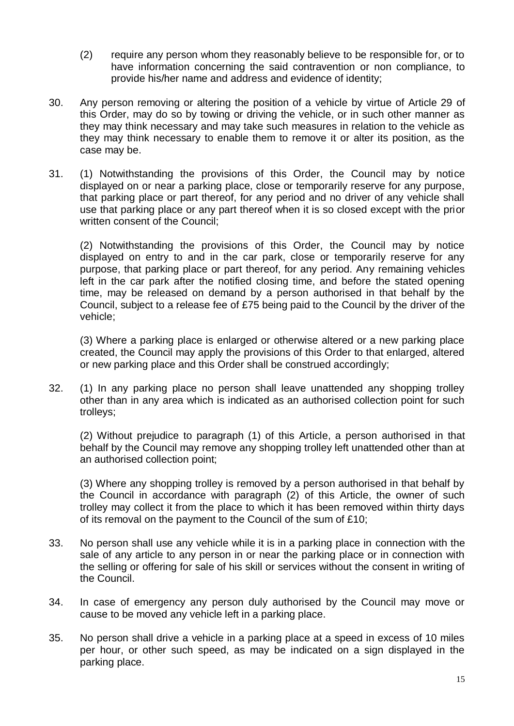- (2) require any person whom they reasonably believe to be responsible for, or to have information concerning the said contravention or non compliance, to provide his/her name and address and evidence of identity;
- 30. Any person removing or altering the position of a vehicle by virtue of Article 29 of this Order, may do so by towing or driving the vehicle, or in such other manner as they may think necessary and may take such measures in relation to the vehicle as they may think necessary to enable them to remove it or alter its position, as the case may be.
- 31. (1) Notwithstanding the provisions of this Order, the Council may by notice displayed on or near a parking place, close or temporarily reserve for any purpose, that parking place or part thereof, for any period and no driver of any vehicle shall use that parking place or any part thereof when it is so closed except with the prior written consent of the Council;

(2) Notwithstanding the provisions of this Order, the Council may by notice displayed on entry to and in the car park, close or temporarily reserve for any purpose, that parking place or part thereof, for any period. Any remaining vehicles left in the car park after the notified closing time, and before the stated opening time, may be released on demand by a person authorised in that behalf by the Council, subject to a release fee of £75 being paid to the Council by the driver of the vehicle;

(3) Where a parking place is enlarged or otherwise altered or a new parking place created, the Council may apply the provisions of this Order to that enlarged, altered or new parking place and this Order shall be construed accordingly;

32. (1) In any parking place no person shall leave unattended any shopping trolley other than in any area which is indicated as an authorised collection point for such trolleys;

(2) Without prejudice to paragraph (1) of this Article, a person authorised in that behalf by the Council may remove any shopping trolley left unattended other than at an authorised collection point;

(3) Where any shopping trolley is removed by a person authorised in that behalf by the Council in accordance with paragraph (2) of this Article, the owner of such trolley may collect it from the place to which it has been removed within thirty days of its removal on the payment to the Council of the sum of £10;

- 33. No person shall use any vehicle while it is in a parking place in connection with the sale of any article to any person in or near the parking place or in connection with the selling or offering for sale of his skill or services without the consent in writing of the Council.
- 34. In case of emergency any person duly authorised by the Council may move or cause to be moved any vehicle left in a parking place.
- 35. No person shall drive a vehicle in a parking place at a speed in excess of 10 miles per hour, or other such speed, as may be indicated on a sign displayed in the parking place.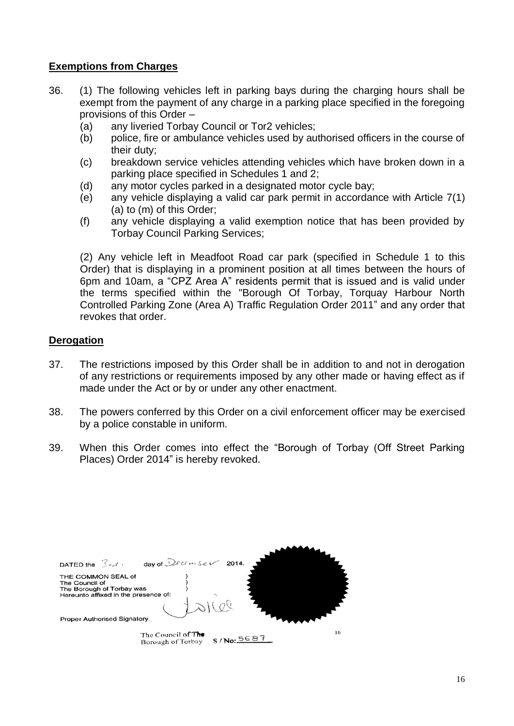## **Exemptions from Charges**

- 36. (1) The following vehicles left in parking bays during the charging hours shall be exempt from the payment of any charge in a parking place specified in the foregoing provisions of this Order –
	- (a) any liveried Torbay Council or Tor2 vehicles;
	- (b) police, fire or ambulance vehicles used by authorised officers in the course of their duty;
	- (c) breakdown service vehicles attending vehicles which have broken down in a parking place specified in Schedules 1 and 2;
	- (d) any motor cycles parked in a designated motor cycle bay;
	- (e) any vehicle displaying a valid car park permit in accordance with Article 7(1) (a) to (m) of this Order;
	- (f) any vehicle displaying a valid exemption notice that has been provided by Torbay Council Parking Services;

(2) Any vehicle left in Meadfoot Road car park (specified in Schedule 1 to this Order) that is displaying in a prominent position at all times between the hours of 6pm and 10am, a "CPZ Area A" residents permit that is issued and is valid under the terms specified within the "Borough Of Torbay, Torquay Harbour North Controlled Parking Zone (Area A) Traffic Regulation Order 2011" and any order that revokes that order.

# **Derogation**

- 37. The restrictions imposed by this Order shall be in addition to and not in derogation of any restrictions or requirements imposed by any other made or having effect as if made under the Act or by or under any other enactment.
- 38. The powers conferred by this Order on a civil enforcement officer may be exercised by a police constable in uniform.
- 39. When this Order comes into effect the "Borough of Torbay (Off Street Parking Places) Order 2014" is hereby revoked.

| DATED the $3rd \cdot$                                                                                     | day of Decreaser 2014.                  |              |    |
|-----------------------------------------------------------------------------------------------------------|-----------------------------------------|--------------|----|
| THE COMMON SEAL of<br>The Council of<br>The Borough of Torbay was<br>Hereunto affixed in the presence of: |                                         |              |    |
| Proper Authorised Signatory.                                                                              |                                         |              |    |
|                                                                                                           | The Council of The<br>Borough of Torbay | $S/N_0:5687$ | 16 |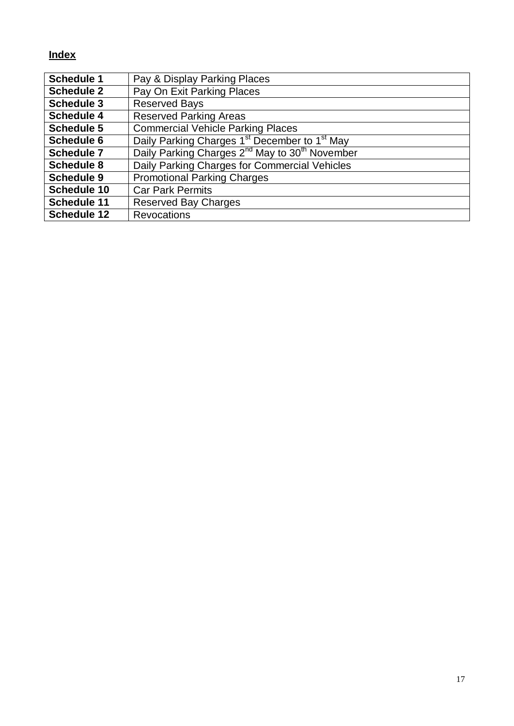# **Index**

| <b>Schedule 1</b>  | Pay & Display Parking Places                                           |
|--------------------|------------------------------------------------------------------------|
| <b>Schedule 2</b>  | Pay On Exit Parking Places                                             |
| <b>Schedule 3</b>  | <b>Reserved Bays</b>                                                   |
| <b>Schedule 4</b>  | <b>Reserved Parking Areas</b>                                          |
| <b>Schedule 5</b>  | <b>Commercial Vehicle Parking Places</b>                               |
| <b>Schedule 6</b>  | Daily Parking Charges 1 <sup>st</sup> December to 1 <sup>st</sup> May  |
| <b>Schedule 7</b>  | Daily Parking Charges 2 <sup>nd</sup> May to 30 <sup>th</sup> November |
| <b>Schedule 8</b>  | Daily Parking Charges for Commercial Vehicles                          |
| <b>Schedule 9</b>  | <b>Promotional Parking Charges</b>                                     |
| <b>Schedule 10</b> | <b>Car Park Permits</b>                                                |
| <b>Schedule 11</b> | <b>Reserved Bay Charges</b>                                            |
| <b>Schedule 12</b> | <b>Revocations</b>                                                     |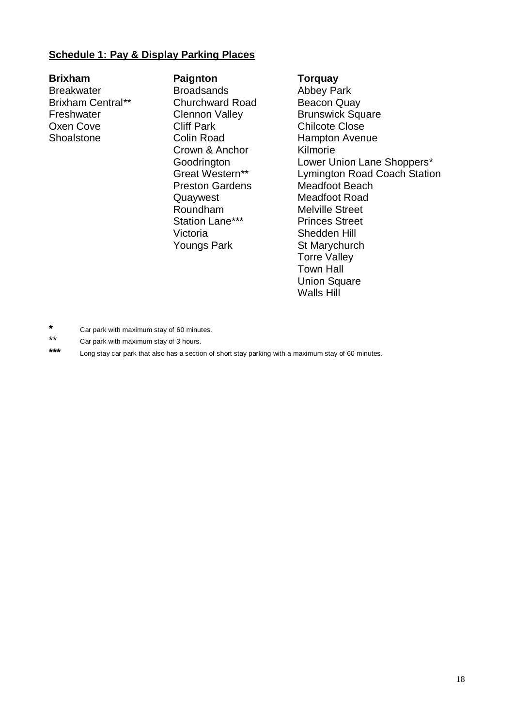### **Schedule 1: Pay & Display Parking Places**

**Brixham Paignton Torquay** Breakwater **Broadsands Abbey Park** Brixham Central\*\* Churchward Road Beacon Quay Oxen Cove Cliff Park Chilcote Close

Crown & Anchor Kilmorie Preston Gardens Meadfoot Beach Quaywest Meadfoot Road Roundham Melville Street Station Lane\*\*\* Princes Street Victoria Shedden Hill Youngs Park St Marychurch

Freshwater Clennon Valley Brunswick Square Shoalstone Colin Road Hampton Avenue Goodrington Lower Union Lane Shoppers\*<br>
Great Western\*\* Lymington Road Coach Statio Lymington Road Coach Station Torre Valley Town Hall **Union Square** Walls Hill

- **\*** Car park with maximum stay of 60 minutes.
- \*\* Car park with maximum stay of 3 hours.

Long stay car park that also has a section of short stay parking with a maximum stay of 60 minutes.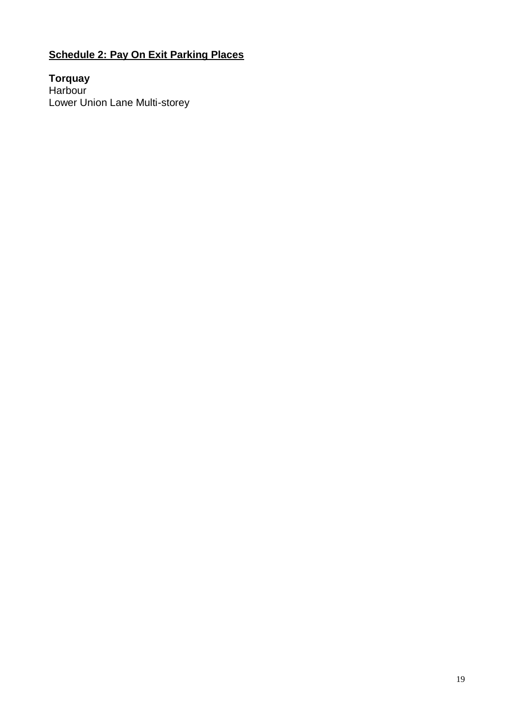# **Schedule 2: Pay On Exit Parking Places**

**Torquay** Harbour Lower Union Lane Multi-storey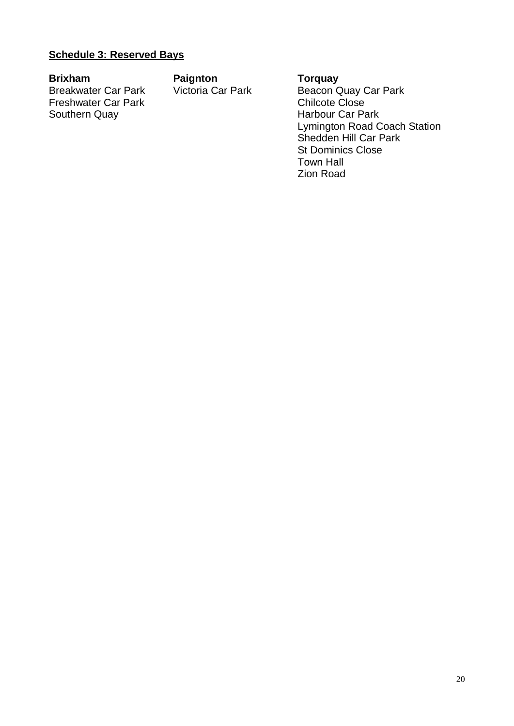# **Schedule 3: Reserved Bays**

**Brixham Paignton Paignton Torquay**<br>Breakwater Car Park **Victoria Car Park Beacon C** Freshwater Car Park<br>Southern Quay

Breakwater Car Park Victoria Car Park Beacon Quay Car Park<br>Freshwater Car Park Chilcote Close Harbour Car Park Lymington Road Coach Station Shedden Hill Car Park St Dominics Close Town Hall Zion Road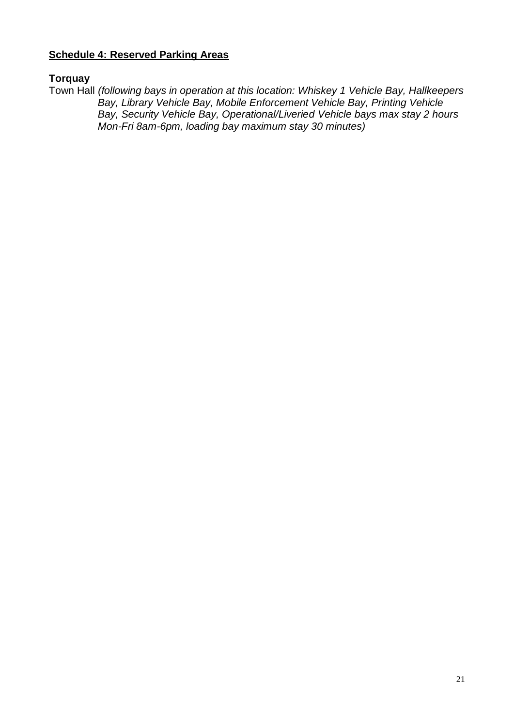# **Schedule 4: Reserved Parking Areas**

## **Torquay**

Town Hall *(following bays in operation at this location: Whiskey 1 Vehicle Bay, Hallkeepers Bay, Library Vehicle Bay, Mobile Enforcement Vehicle Bay, Printing Vehicle Bay, Security Vehicle Bay, Operational/Liveried Vehicle bays max stay 2 hours Mon-Fri 8am-6pm, loading bay maximum stay 30 minutes)*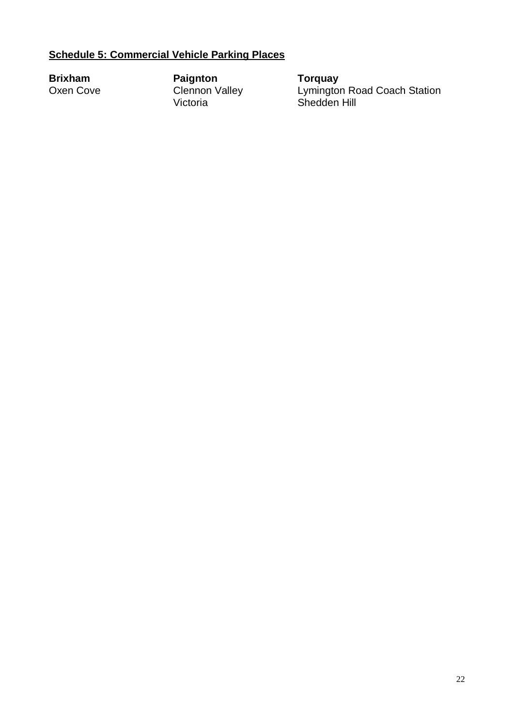# **Schedule 5: Commercial Vehicle Parking Places**

**Brixham Paignton Torquay** Victoria Shedden Hill

**Brixham Paignton Torquay<br>
Clennon Valley Lymington Road Coach Station<br>
Victoria Shedden Hill<br>
Clennon Valley Shedden Hill**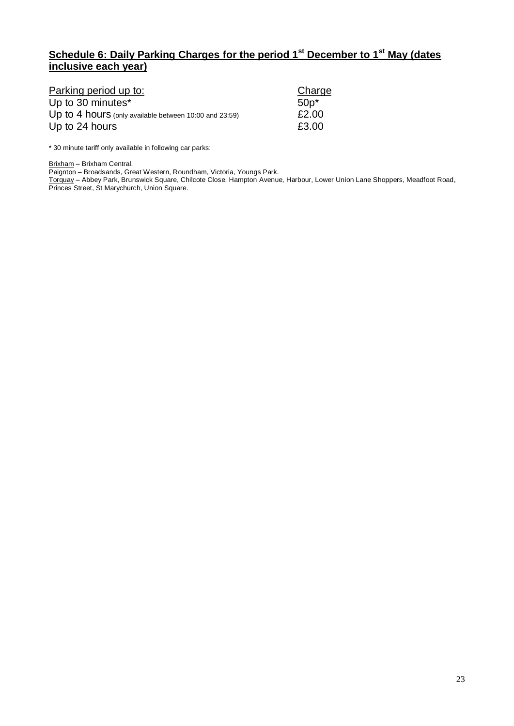# **Schedule 6: Daily Parking Charges for the period 1st December to 1st May (dates inclusive each year)**

| Parking period up to:                                  | Charge  |
|--------------------------------------------------------|---------|
| Up to 30 minutes*                                      | $50p^*$ |
| Up to 4 hours (only available between 10:00 and 23:59) | £2.00   |
| Up to 24 hours                                         | £3.00   |

\* 30 minute tariff only available in following car parks:

Brixham – Brixham Central.

Paignton – Broadsands, Great Western, Roundham, Victoria, Youngs Park.

Torquay – Abbey Park, Brunswick Square, Chilcote Close, Hampton Avenue, Harbour, Lower Union Lane Shoppers, Meadfoot Road, Princes Street, St Marychurch, Union Square.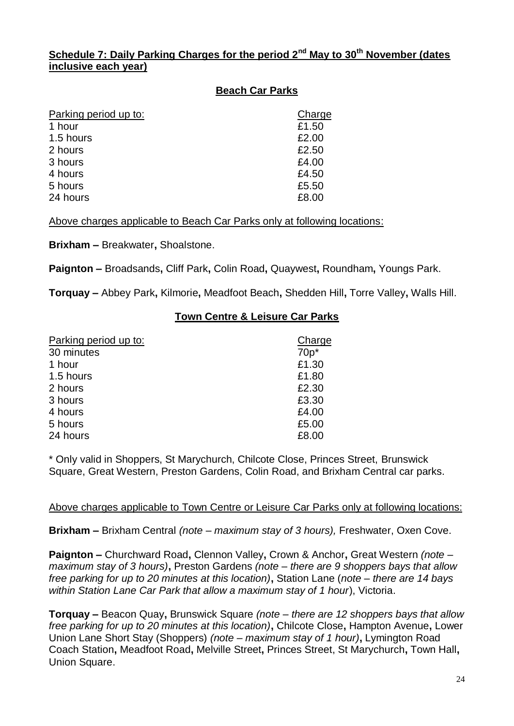# **Schedule 7: Daily Parking Charges for the period 2nd May to 30th November (dates inclusive each year)**

# **Beach Car Parks**

| Charge |
|--------|
| £1.50  |
| £2.00  |
| £2.50  |
| £4.00  |
| £4.50  |
| £5.50  |
| £8.00  |
|        |

Above charges applicable to Beach Car Parks only at following locations:

**Brixham –** Breakwater**,** Shoalstone.

**Paignton –** Broadsands**,** Cliff Park**,** Colin Road**,** Quaywest**,** Roundham**,** Youngs Park.

**Torquay –** Abbey Park**,** Kilmorie**,** Meadfoot Beach**,** Shedden Hill**,** Torre Valley**,** Walls Hill.

# **Town Centre & Leisure Car Parks**

| Parking period up to: | Charge |
|-----------------------|--------|
| 30 minutes            | $70p*$ |
| 1 hour                | £1.30  |
| 1.5 hours             | £1.80  |
| 2 hours               | £2.30  |
| 3 hours               | £3.30  |
| 4 hours               | £4.00  |
| 5 hours               | £5.00  |
| 24 hours              | £8.00  |
|                       |        |

\* Only valid in Shoppers, St Marychurch, Chilcote Close, Princes Street, Brunswick Square, Great Western, Preston Gardens, Colin Road, and Brixham Central car parks.

## Above charges applicable to Town Centre or Leisure Car Parks only at following locations:

**Brixham –** Brixham Central *(note – maximum stay of 3 hours),* Freshwater, Oxen Cove.

**Paignton –** Churchward Road**,** Clennon Valley**,** Crown & Anchor**,** Great Western *(note – maximum stay of 3 hours)***,** Preston Gardens *(note – there are 9 shoppers bays that allow free parking for up to 20 minutes at this location)***,** Station Lane (*note – there are 14 bays within Station Lane Car Park that allow a maximum stay of 1 hour*), Victoria.

**Torquay –** Beacon Quay**,** Brunswick Square *(note – there are 12 shoppers bays that allow free parking for up to 20 minutes at this location)***,** Chilcote Close**,** Hampton Avenue**,** Lower Union Lane Short Stay (Shoppers) *(note – maximum stay of 1 hour)***,** Lymington Road Coach Station**,** Meadfoot Road**,** Melville Street**,** Princes Street, St Marychurch**,** Town Hall**,**  Union Square.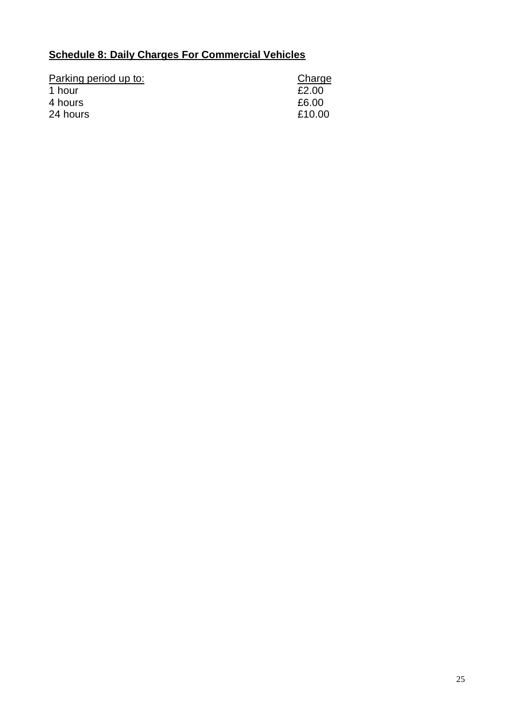# **Schedule 8: Daily Charges For Commercial Vehicles**

| Charge |
|--------|
| £2.00  |
| £6.00  |
| £10.00 |
|        |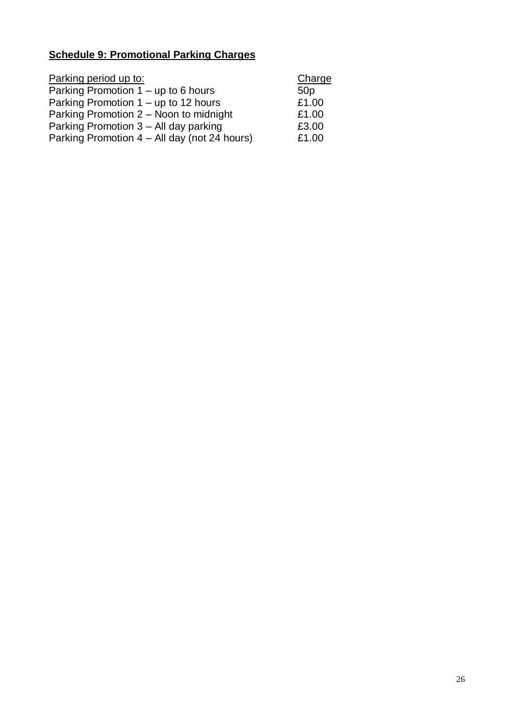# **Schedule 9: Promotional Parking Charges**

| Parking period up to:                        | Charge          |
|----------------------------------------------|-----------------|
| Parking Promotion 1 – up to 6 hours          | 50 <sub>p</sub> |
| Parking Promotion 1 – up to 12 hours         | £1.00           |
| Parking Promotion 2 – Noon to midnight       | £1.00           |
| Parking Promotion 3 – All day parking        | £3.00           |
| Parking Promotion 4 – All day (not 24 hours) | £1.00           |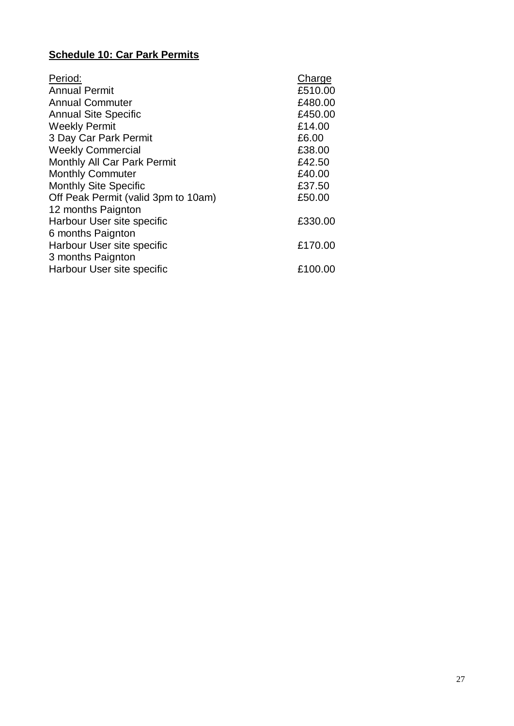# **Schedule 10: Car Park Permits**

| Period:                             | Charge  |
|-------------------------------------|---------|
| <b>Annual Permit</b>                | £510.00 |
| <b>Annual Commuter</b>              | £480.00 |
| <b>Annual Site Specific</b>         | £450.00 |
| <b>Weekly Permit</b>                | £14.00  |
| 3 Day Car Park Permit               | £6.00   |
| <b>Weekly Commercial</b>            | £38.00  |
| <b>Monthly All Car Park Permit</b>  | £42.50  |
| <b>Monthly Commuter</b>             | £40.00  |
| <b>Monthly Site Specific</b>        | £37.50  |
| Off Peak Permit (valid 3pm to 10am) | £50.00  |
| 12 months Paignton                  |         |
| Harbour User site specific          | £330.00 |
| 6 months Paignton                   |         |
| Harbour User site specific          | £170.00 |
| 3 months Paignton                   |         |
| Harbour User site specific          | £100.00 |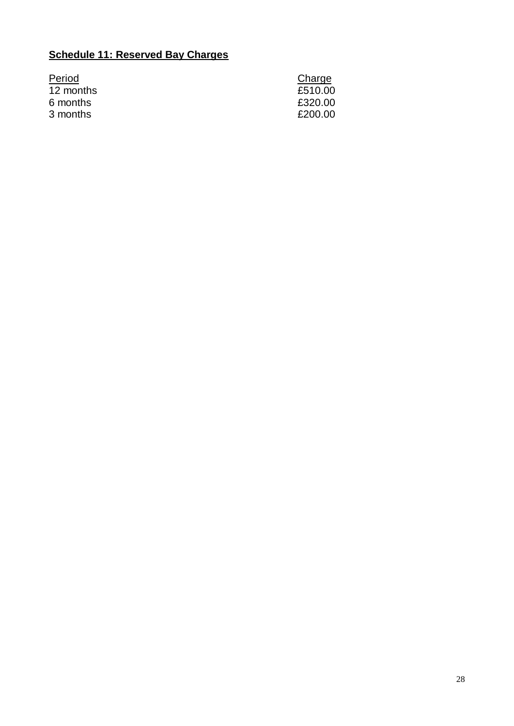# **Schedule 11: Reserved Bay Charges**

| Period    | Charge  |
|-----------|---------|
| 12 months | £510.00 |
| 6 months  | £320.00 |
| 3 months  | £200.00 |